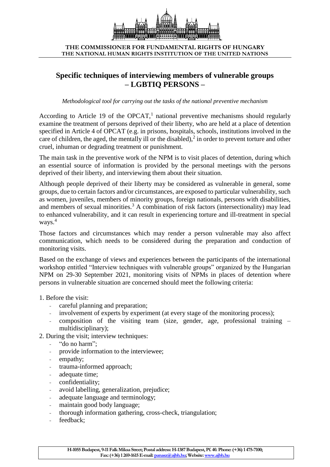

**THE COMMISSIONER FOR FUNDAMENTAL RIGHTS OF HUNGARY THE NATIONAL HUMAN RIGHTS INSTITUTION OF THE UNITED NATIONS**

# **Specific techniques of interviewing members of vulnerable groups – LGBTIQ PERSONS –**

*Methodological tool for carrying out the tasks of the national preventive mechanism*

According to Article 19 of the OPCAT,<sup>1</sup> national preventive mechanisms should regularly examine the treatment of persons deprived of their liberty, who are held at a place of detention specified in Article 4 of OPCAT (e.g. in prisons, hospitals, schools, institutions involved in the care of children, the aged, the mentally ill or the disabled), $\frac{2}{3}$  in order to prevent torture and other cruel, inhuman or degrading treatment or punishment.

The main task in the preventive work of the NPM is to visit places of detention, during which an essential source of information is provided by the personal meetings with the persons deprived of their liberty, and interviewing them about their situation.

Although people deprived of their liberty may be considered as vulnerable in general, some groups, due to certain factors and/or circumstances, are exposed to particular vulnerability, such as women, juveniles, members of minority groups, foreign nationals, persons with disabilities, and members of sexual minorities.<sup>3</sup> A combination of risk factors (intersectionality) may lead to enhanced vulnerability, and it can result in experiencing torture and ill-treatment in special ways.<sup>4</sup>

Those factors and circumstances which may render a person vulnerable may also affect communication, which needs to be considered during the preparation and conduction of monitoring visits.

Based on the exchange of views and experiences between the participants of the international workshop entitled "Interview techniques with vulnerable groups" organized by the Hungarian NPM on 29-30 September 2021, monitoring visits of NPMs in places of detention where persons in vulnerable situation are concerned should meet the following criteria:

- 1. Before the visit:
	- careful planning and preparation;
	- involvement of experts by experiment (at every stage of the monitoring process);
	- composition of the visiting team (size, gender, age, professional training multidisciplinary);
- 2. During the visit; interview techniques:
	- "do no harm";
	- provide information to the interviewee;
	- empathy;
	- trauma-informed approach;
	- adequate time:
	- confidentiality;
	- avoid labelling, generalization, prejudice;
	- adequate language and terminology;
	- maintain good body language;
	- thorough information gathering, cross-check, triangulation;
	- feedback: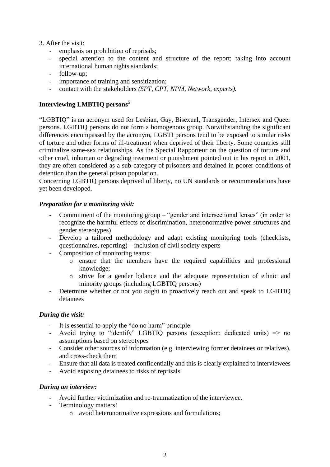- 3. After the visit:
	- emphasis on prohibition of reprisals;
	- special attention to the content and structure of the report; taking into account international human rights standards;
	- follow-up;
	- importance of training and sensitization;
	- contact with the stakeholders *(SPT, CPT, NPM, Network, experts).*

# **Interviewing LMBTIQ persons**<sup>5</sup>

"LGBTIQ" is an acronym used for Lesbian, Gay, Bisexual, Transgender, Intersex and Queer persons. LGBTIQ persons do not form a homogenous group. Notwithstanding the significant differences encompassed by the acronym, LGBTI persons tend to be exposed to similar risks of torture and other forms of ill-treatment when deprived of their liberty. Some countries still criminalize same-sex relationships. As the Special Rapporteur on the question of torture and other cruel, inhuman or degrading treatment or punishment pointed out in his report in 2001, they are often considered as a sub-category of prisoners and detained in poorer conditions of detention than the general prison population.

Concerning LGBTIQ persons deprived of liberty, no UN standards or recommendations have yet been developed.

## *Preparation for a monitoring visit:*

- Commitment of the monitoring group "gender and intersectional lenses" (in order to recognize the harmful effects of discrimination, heteronormative power structures and gender stereotypes)
- Develop a tailored methodology and adapt existing monitoring tools (checklists, questionnaires, reporting) – inclusion of civil society experts
- Composition of monitoring teams:
	- o ensure that the members have the required capabilities and professional knowledge;
	- o strive for a gender balance and the adequate representation of ethnic and minority groups (including LGBTIQ persons)
- Determine whether or not you ought to proactively reach out and speak to LGBTIQ detainees

## *During the visit:*

- It is essential to apply the "do no harm" principle
- Avoid trying to "identify" LGBTIQ persons (exception: dedicated units) => no assumptions based on stereotypes
- Consider other sources of information (e.g. interviewing former detainees or relatives), and cross-check them
- Ensure that all data is treated confidentially and this is clearly explained to interviewees
- Avoid exposing detainees to risks of reprisals

# *During an interview:*

- Avoid further victimization and re-traumatization of the interviewee.
- Terminology matters!
	- o avoid heteronormative expressions and formulations;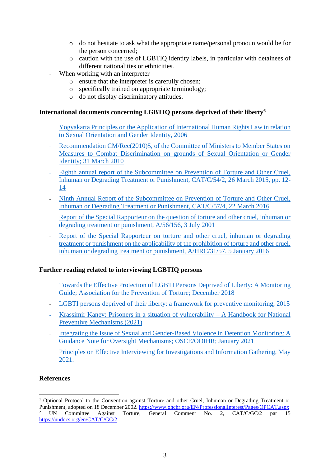- o do not hesitate to ask what the appropriate name/personal pronoun would be for the person concerned;
- o caution with the use of LGBTIQ identity labels, in particular with detainees of different nationalities or ethnicities.
- When working with an interpreter
	- o ensure that the interpreter is carefully chosen;
	- o specifically trained on appropriate terminology;
	- o do not display discriminatory attitudes.

## **International documents concerning LGBTIQ persons deprived of their liberty<sup>6</sup>**

- [Yogyakarta Principles on the Application of International Human Rights Law in relation](http://yogyakartaprinciples.org/wp-content/uploads/2017/11/A5_yogyakartaWEB-2.pdf)  [to Sexual Orientation and Gender Identity, 2006](http://yogyakartaprinciples.org/wp-content/uploads/2017/11/A5_yogyakartaWEB-2.pdf)
- [Recommendation CM/Rec\(2010\)5, of the Committee of Ministers to Member States on](https://wcd.coe.int/ViewDoc.jsp?id=1606669)  [Measures to Combat Discrimination on grounds of Sexual Orientation or Gender](https://wcd.coe.int/ViewDoc.jsp?id=1606669)  Identity; [31 March 2010](https://wcd.coe.int/ViewDoc.jsp?id=1606669)
- [Eighth annual report of the Subcommittee on Prevention of Torture and Other Cruel,](https://undocs.org/en/CAT/C/54/2)  [Inhuman or Degrading Treatment or Punishment, CAT/C/54/2, 26 March 2015, pp. 12-](https://undocs.org/en/CAT/C/54/2) [14](https://undocs.org/en/CAT/C/54/2)
- [Ninth Annual Report of the Subcommittee on Prevention of Torture and Other Cruel,](https://undocs.org/en/CAT/C/57/4)  [Inhuman or Degrading Treatment or Punishment, CAT/C/57/4,](https://undocs.org/en/CAT/C/57/4) 22 March 2016
- Report of the Special Rapporteur on the question of torture and other cruel, inhuman or [degrading treatment or punishment, A/56/156, 3 July 2001](https://undocs.org/en/A/56/156)
- Report of the Special Rapporteur on torture and other cruel, inhuman or degrading [treatment or punishment on the applicability of the prohibition of torture and other cruel,](https://undocs.org/en/A/HRC/31/57)  [inhuman or degrading treatment or punishment, A/HRC/31/57, 5 January 2016](https://undocs.org/en/A/HRC/31/57)

## **Further reading related to interviewing LGBTIQ persons**

- [Towards the Effective Protection of LGBTI Persons Deprived of Liberty: A Monitoring](https://apt.ch/content/files_res/apt_20181204_towards-the-effective-protection-of-lgbti-persons-deprived-of-liberty-a-monitoring-guide-final.pdf)  [Guide; Association for the Prevention of Torture;](https://apt.ch/content/files_res/apt_20181204_towards-the-effective-protection-of-lgbti-persons-deprived-of-liberty-a-monitoring-guide-final.pdf) December 2018
- [LGBTI persons deprived of their liberty: a framework for preventive monitoring, 2015](https://cdn.penalreform.org/wp-content/uploads/2016/01/lgbti-framework-2nd-ed-v7-web.pdf)
- [Krassimir Kanev: Prisoners in a situation of vulnerability –](https://bim.lbg.ac.at/sites/files/bim/attachments/handbook_-_prisoners_in_a_situation_of_vulnerability_-_bhc.pdf) A Handbook for National Preventive [Mechanisms \(2021\)](https://bim.lbg.ac.at/sites/files/bim/attachments/handbook_-_prisoners_in_a_situation_of_vulnerability_-_bhc.pdf)
- Integrating the Issue of Sexual and Gender-Based Violence in Detention Monitoring: A [Guidance Note for Oversight Mechanisms; OSCE/ODIHR; January 2021](https://www.osce.org/monitoring-SGBV-in-detention)
- [Principles on Effective Interviewing for Investigations and Information Gathering, May](https://www.apt.ch/sites/default/files/inline-files/apt_PoEI_EN_08.pdf)  [2021.](https://www.apt.ch/sites/default/files/inline-files/apt_PoEI_EN_08.pdf)

# **References**

1

 $1$  Optional Protocol to the Convention against Torture and other Cruel, Inhuman or Degrading Treatment or Punishment, adopted on 18 December 2002.<https://www.ohchr.org/EN/ProfessionalInterest/Pages/OPCAT.aspx> <sup>2</sup> UN Committee Against Torture, General Comment No. 2, CAT/C/GC/2 par 15 <https://undocs.org/en/CAT/C/GC/2>